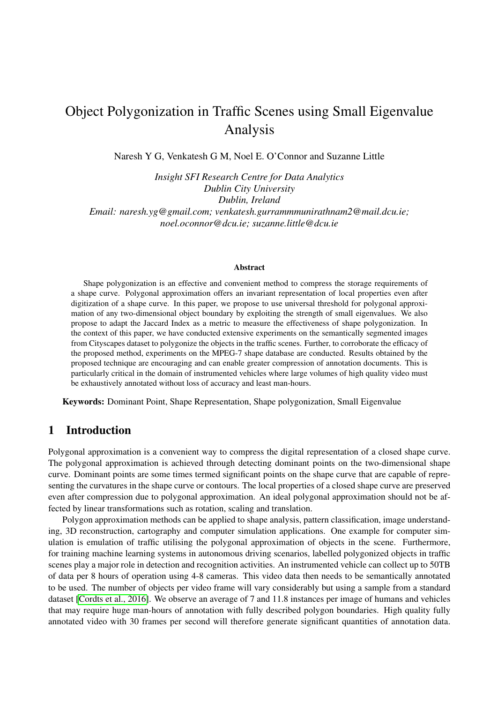# Object Polygonization in Traffic Scenes using Small Eigenvalue Analysis

Naresh Y G, Venkatesh G M, Noel E. O'Connor and Suzanne Little

*Insight SFI Research Centre for Data Analytics Dublin City University Dublin, Ireland Email: naresh.yg@gmail.com; venkatesh.gurrammmunirathnam2@mail.dcu.ie; noel.oconnor@dcu.ie; suzanne.little@dcu.ie*

#### Abstract

Shape polygonization is an effective and convenient method to compress the storage requirements of a shape curve. Polygonal approximation offers an invariant representation of local properties even after digitization of a shape curve. In this paper, we propose to use universal threshold for polygonal approximation of any two-dimensional object boundary by exploiting the strength of small eigenvalues. We also propose to adapt the Jaccard Index as a metric to measure the effectiveness of shape polygonization. In the context of this paper, we have conducted extensive experiments on the semantically segmented images from Cityscapes dataset to polygonize the objects in the traffic scenes. Further, to corroborate the efficacy of the proposed method, experiments on the MPEG-7 shape database are conducted. Results obtained by the proposed technique are encouraging and can enable greater compression of annotation documents. This is particularly critical in the domain of instrumented vehicles where large volumes of high quality video must be exhaustively annotated without loss of accuracy and least man-hours.

Keywords: Dominant Point, Shape Representation, Shape polygonization, Small Eigenvalue

## 1 Introduction

Polygonal approximation is a convenient way to compress the digital representation of a closed shape curve. The polygonal approximation is achieved through detecting dominant points on the two-dimensional shape curve. Dominant points are some times termed significant points on the shape curve that are capable of representing the curvatures in the shape curve or contours. The local properties of a closed shape curve are preserved even after compression due to polygonal approximation. An ideal polygonal approximation should not be affected by linear transformations such as rotation, scaling and translation.

Polygon approximation methods can be applied to shape analysis, pattern classification, image understanding, 3D reconstruction, cartography and computer simulation applications. One example for computer simulation is emulation of traffic utilising the polygonal approximation of objects in the scene. Furthermore, for training machine learning systems in autonomous driving scenarios, labelled polygonized objects in traffic scenes play a major role in detection and recognition activities. An instrumented vehicle can collect up to 50TB of data per 8 hours of operation using 4-8 cameras. This video data then needs to be semantically annotated to be used. The number of objects per video frame will vary considerably but using a sample from a standard dataset [\[Cordts et al., 2016\]](#page-7-0). We observe an average of 7 and 11.8 instances per image of humans and vehicles that may require huge man-hours of annotation with fully described polygon boundaries. High quality fully annotated video with 30 frames per second will therefore generate significant quantities of annotation data.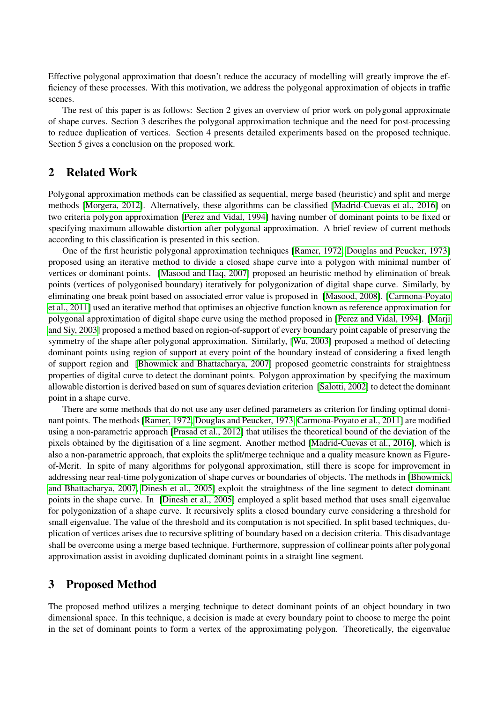Effective polygonal approximation that doesn't reduce the accuracy of modelling will greatly improve the efficiency of these processes. With this motivation, we address the polygonal approximation of objects in traffic scenes.

The rest of this paper is as follows: Section 2 gives an overview of prior work on polygonal approximate of shape curves. Section 3 describes the polygonal approximation technique and the need for post-processing to reduce duplication of vertices. Section 4 presents detailed experiments based on the proposed technique. Section 5 gives a conclusion on the proposed work.

## 2 Related Work

Polygonal approximation methods can be classified as sequential, merge based (heuristic) and split and merge methods [\[Morgera, 2012\]](#page-7-1). Alternatively, these algorithms can be classified [\[Madrid-Cuevas et al., 2016\]](#page-7-2) on two criteria polygon approximation [\[Perez and Vidal, 1994\]](#page-7-3) having number of dominant points to be fixed or specifying maximum allowable distortion after polygonal approximation. A brief review of current methods according to this classification is presented in this section.

One of the first heuristic polygonal approximation techniques [\[Ramer, 1972,](#page-7-4) [Douglas and Peucker, 1973\]](#page-7-5) proposed using an iterative method to divide a closed shape curve into a polygon with minimal number of vertices or dominant points. [\[Masood and Haq, 2007\]](#page-7-6) proposed an heuristic method by elimination of break points (vertices of polygonised boundary) iteratively for polygonization of digital shape curve. Similarly, by eliminating one break point based on associated error value is proposed in [\[Masood, 2008\]](#page-7-7). [\[Carmona-Poyato](#page-7-8) [et al., 2011\]](#page-7-8) used an iterative method that optimises an objective function known as reference approximation for polygonal approximation of digital shape curve using the method proposed in [\[Perez and Vidal, 1994\]](#page-7-3). [\[Marji](#page-7-9) [and Siy, 2003\]](#page-7-9) proposed a method based on region-of-support of every boundary point capable of preserving the symmetry of the shape after polygonal approximation. Similarly, [\[Wu, 2003\]](#page-7-10) proposed a method of detecting dominant points using region of support at every point of the boundary instead of considering a fixed length of support region and [\[Bhowmick and Bhattacharya, 2007\]](#page-7-11) proposed geometric constraints for straightness properties of digital curve to detect the dominant points. Polygon approximation by specifying the maximum allowable distortion is derived based on sum of squares deviation criterion [\[Salotti, 2002\]](#page-7-12) to detect the dominant point in a shape curve.

There are some methods that do not use any user defined parameters as criterion for finding optimal dominant points. The methods [\[Ramer, 1972,](#page-7-4) [Douglas and Peucker, 1973,](#page-7-5) [Carmona-Poyato et al., 2011\]](#page-7-8) are modified using a non-parametric approach [\[Prasad et al., 2012\]](#page-7-13) that utilises the theoretical bound of the deviation of the pixels obtained by the digitisation of a line segment. Another method [\[Madrid-Cuevas et al., 2016\]](#page-7-2), which is also a non-parametric approach, that exploits the split/merge technique and a quality measure known as Figureof-Merit. In spite of many algorithms for polygonal approximation, still there is scope for improvement in addressing near real-time polygonization of shape curves or boundaries of objects. The methods in [\[Bhowmick](#page-7-11) [and Bhattacharya, 2007,](#page-7-11) [Dinesh et al., 2005\]](#page-7-14) exploit the straightness of the line segment to detect dominant points in the shape curve. In [\[Dinesh et al., 2005\]](#page-7-14) employed a split based method that uses small eigenvalue for polygonization of a shape curve. It recursively splits a closed boundary curve considering a threshold for small eigenvalue. The value of the threshold and its computation is not specified. In split based techniques, duplication of vertices arises due to recursive splitting of boundary based on a decision criteria. This disadvantage shall be overcome using a merge based technique. Furthermore, suppression of collinear points after polygonal approximation assist in avoiding duplicated dominant points in a straight line segment.

## 3 Proposed Method

The proposed method utilizes a merging technique to detect dominant points of an object boundary in two dimensional space. In this technique, a decision is made at every boundary point to choose to merge the point in the set of dominant points to form a vertex of the approximating polygon. Theoretically, the eigenvalue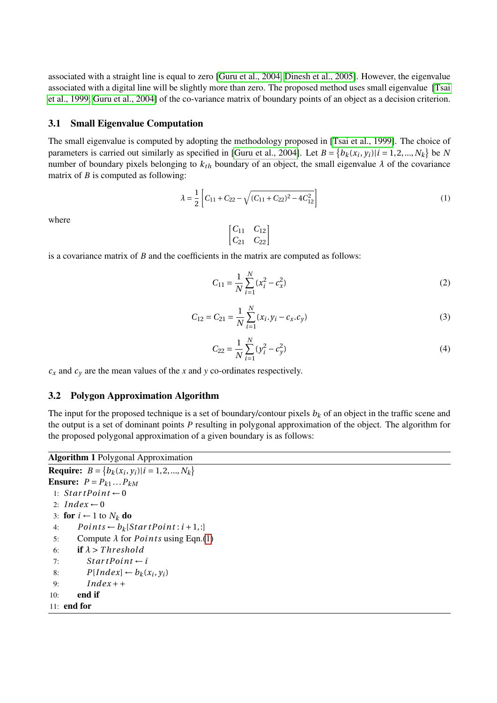associated with a straight line is equal to zero [\[Guru et al., 2004,](#page-7-15) [Dinesh et al., 2005\]](#page-7-14). However, the eigenvalue associated with a digital line will be slightly more than zero. The proposed method uses small eigenvalue [\[Tsai](#page-7-16) [et al., 1999,](#page-7-16) [Guru et al., 2004\]](#page-7-15) of the co-variance matrix of boundary points of an object as a decision criterion.

### <span id="page-2-1"></span>3.1 Small Eigenvalue Computation

The small eigenvalue is computed by adopting the methodology proposed in [\[Tsai et al., 1999\]](#page-7-16). The choice of parameters is carried out similarly as specified in [\[Guru et al., 2004\]](#page-7-15). Let  $B = \{b_k(x_i, y_i) | i = 1, 2, ..., N_k\}$  be *N* number of boundary pixels belonging to  $k_{th}$  boundary of an object, the small eigenvalue  $\lambda$  of the covariance matrix of *B* is computed as following:

<span id="page-2-0"></span>
$$
\lambda = \frac{1}{2} \left[ C_{11} + C_{22} - \sqrt{(C_{11} + C_{22})^2 - 4C_{12}^2} \right]
$$
\n(1)

where

$$
\begin{bmatrix}C_{11}&C_{12}\\C_{21}&C_{22}\end{bmatrix}
$$

is a covariance matrix of *B* and the coefficients in the matrix are computed as follows:

$$
C_{11} = \frac{1}{N} \sum_{i=1}^{N} (x_i^2 - c_x^2)
$$
 (2)

$$
C_{12} = C_{21} = \frac{1}{N} \sum_{i=1}^{N} (x_i \cdot y_i - c_x \cdot c_y)
$$
\n(3)

$$
C_{22} = \frac{1}{N} \sum_{i=1}^{N} (y_i^2 - c_y^2)
$$
 (4)

 $c_x$  and  $c_y$  are the mean values of the *x* and *y* co-ordinates respectively.

### 3.2 Polygon Approximation Algorithm

The input for the proposed technique is a set of boundary/contour pixels  $b_k$  of an object in the traffic scene and the output is a set of dominant points *P* resulting in polygonal approximation of the object. The algorithm for the proposed polygonal approximation of a given boundary is as follows:

```
Algorithm 1 Polygonal Approximation
Require: B = \{b_k(x_i, y_i) | i = 1, 2, ..., N_k\}Ensure: P = P_{k1} \dots P_{kM}1: StartPoint \leftarrow 02: Index \leftarrow 03: for i ← 1 to N_k do
 4: Points \leftarrow b_k[StartPoint:i+1,:]5: Compute \lambda for Points(1)
 6: if λ > T hr eshold
 7: StartPoint \leftarrow i8: P[Index] \leftarrow b_k(x_i, y_i)9: Index + +
10: end if
11: end for
```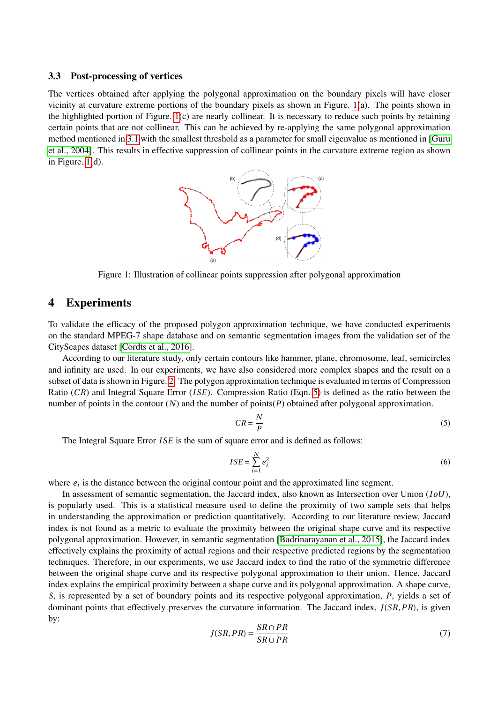#### 3.3 Post-processing of vertices

The vertices obtained after applying the polygonal approximation on the boundary pixels will have closer vicinity at curvature extreme portions of the boundary pixels as shown in Figure. [1\(](#page-3-0)a). The points shown in the highlighted portion of Figure.  $1(c)$  are nearly collinear. It is necessary to reduce such points by retaining certain points that are not collinear. This can be achieved by re-applying the same polygonal approximation method mentioned in [3.1](#page-2-1) with the smallest threshold as a parameter for small eigenvalue as mentioned in [\[Guru](#page-7-15) [et al., 2004\]](#page-7-15). This results in effective suppression of collinear points in the curvature extreme region as shown in Figure. [1\(](#page-3-0)d).



<span id="page-3-0"></span>Figure 1: Illustration of collinear points suppression after polygonal approximation

## 4 Experiments

To validate the efficacy of the proposed polygon approximation technique, we have conducted experiments on the standard MPEG-7 shape database and on semantic segmentation images from the validation set of the CityScapes dataset [\[Cordts et al., 2016\]](#page-7-0).

According to our literature study, only certain contours like hammer, plane, chromosome, leaf, semicircles and infinity are used. In our experiments, we have also considered more complex shapes and the result on a subset of data is shown in Figure. [2.](#page-4-0) The polygon approximation technique is evaluated in terms of Compression Ratio (*CR*) and Integral Square Error (*I SE*). Compression Ratio (Eqn. [5\)](#page-3-1) is defined as the ratio between the number of points in the contour (*N*) and the number of points(*P*) obtained after polygonal approximation.

<span id="page-3-1"></span>
$$
CR = \frac{N}{P}
$$
 (5)

The Integral Square Error *ISE* is the sum of square error and is defined as follows:

$$
ISE = \sum_{i=1}^{N} e_i^2 \tag{6}
$$

where  $e_i$  is the distance between the original contour point and the approximated line segment.

In assessment of semantic segmentation, the Jaccard index, also known as Intersection over Union (*I oU*), is popularly used. This is a statistical measure used to define the proximity of two sample sets that helps in understanding the approximation or prediction quantitatively. According to our literature review, Jaccard index is not found as a metric to evaluate the proximity between the original shape curve and its respective polygonal approximation. However, in semantic segmentation [\[Badrinarayanan et al., 2015\]](#page-6-0), the Jaccard index effectively explains the proximity of actual regions and their respective predicted regions by the segmentation techniques. Therefore, in our experiments, we use Jaccard index to find the ratio of the symmetric difference between the original shape curve and its respective polygonal approximation to their union. Hence, Jaccard index explains the empirical proximity between a shape curve and its polygonal approximation. A shape curve, *S*, is represented by a set of boundary points and its respective polygonal approximation, *P*, yields a set of dominant points that effectively preserves the curvature information. The Jaccard index, *J*(*SR*,*PR*), is given by:

$$
J(SR, PR) = \frac{SR \cap PR}{SR \cup PR} \tag{7}
$$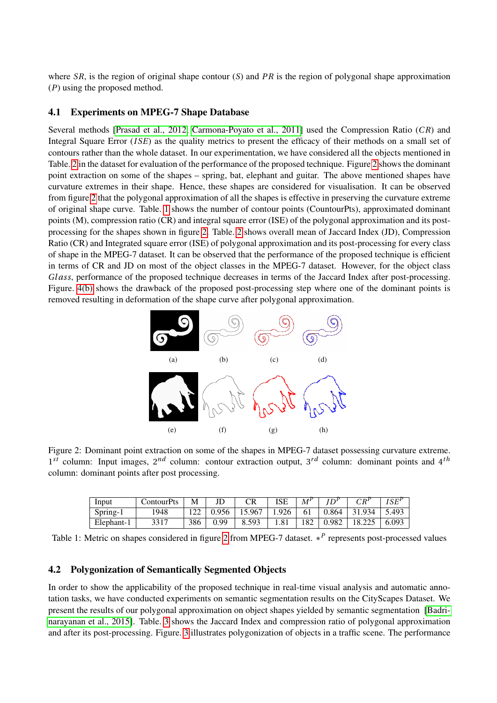where *SR*, is the region of original shape contour (*S*) and *PR* is the region of polygonal shape approximation (*P*) using the proposed method.

### 4.1 Experiments on MPEG-7 Shape Database

Several methods [\[Prasad et al., 2012,](#page-7-13) [Carmona-Poyato et al., 2011\]](#page-7-8) used the Compression Ratio (*CR*) and Integral Square Error (*ISE*) as the quality metrics to present the efficacy of their methods on a small set of contours rather than the whole dataset. In our experimentation, we have considered all the objects mentioned in Table. [2](#page-5-0) in the dataset for evaluation of the performance of the proposed technique. Figure [2](#page-4-0) shows the dominant point extraction on some of the shapes – spring, bat, elephant and guitar. The above mentioned shapes have curvature extremes in their shape. Hence, these shapes are considered for visualisation. It can be observed from figure [2](#page-4-0) that the polygonal approximation of all the shapes is effective in preserving the curvature extreme of original shape curve. Table. [1](#page-4-1) shows the number of contour points (CountourPts), approximated dominant points (M), compression ratio (CR) and integral square error (ISE) of the polygonal approximation and its postprocessing for the shapes shown in figure [2.](#page-4-0) Table. [2](#page-5-0) shows overall mean of Jaccard Index (JD), Compression Ratio (CR) and Integrated square error (ISE) of polygonal approximation and its post-processing for every class of shape in the MPEG-7 dataset. It can be observed that the performance of the proposed technique is efficient in terms of CR and JD on most of the object classes in the MPEG-7 dataset. However, for the object class *Gl ass*, performance of the proposed technique decreases in terms of the Jaccard Index after post-processing. Figure. [4\(b\)](#page-6-1) shows the drawback of the proposed post-processing step where one of the dominant points is removed resulting in deformation of the shape curve after polygonal approximation.



<span id="page-4-0"></span>Figure 2: Dominant point extraction on some of the shapes in MPEG-7 dataset possessing curvature extreme. 1<sup>st</sup> column: Input images, 2<sup>nd</sup> column: contour extraction output, 3<sup>rd</sup> column: dominant points and 4<sup>th</sup> column: dominant points after post processing.

| Input      | ContourPts | M   |       | CR     | <b>ISE</b> | $M^P$ |       | $CR^{\prime}$ | $I\mathcal{S} F^P$ |
|------------|------------|-----|-------|--------|------------|-------|-------|---------------|--------------------|
| Spring-1   | 1948       |     | 0.956 | 15.967 | 926        | 61    | 0.864 | 31.934        | 5.493              |
| Elephant-1 | 3317       | 386 | 0.99  | 8.593  | 1.81       | 182   | 0.982 | 19.225        | 6.093              |

<span id="page-4-1"></span>Table 1: Metric on shapes considered in figure [2](#page-4-0) from MPEG-7 dataset. ∗ *P* represents post-processed values

## 4.2 Polygonization of Semantically Segmented Objects

In order to show the applicability of the proposed technique in real-time visual analysis and automatic annotation tasks, we have conducted experiments on semantic segmentation results on the CityScapes Dataset. We present the results of our polygonal approximation on object shapes yielded by semantic segmentation [\[Badri](#page-6-0)[narayanan et al., 2015\]](#page-6-0). Table. [3](#page-6-2) shows the Jaccard Index and compression ratio of polygonal approximation and after its post-processing. Figure. [3](#page-5-1) illustrates polygonization of objects in a traffic scene. The performance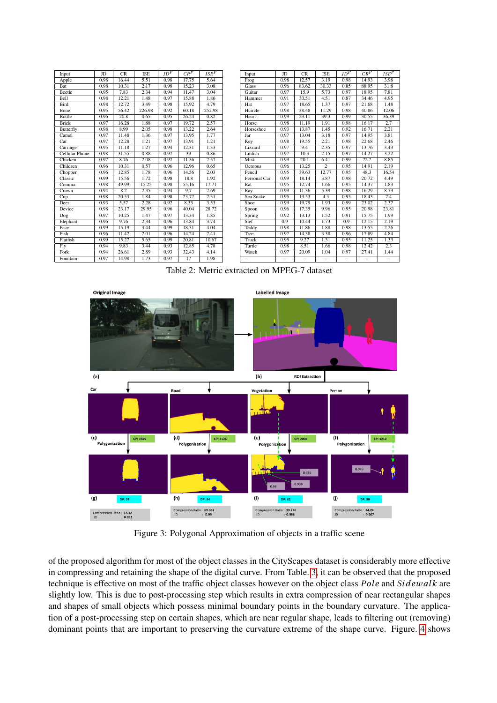| Input                     | JD   | <b>CR</b> | <b>ISE</b> | $JD^P$ | $CR^P$ | $_{ISE}P$ | Input                    | JD   | <b>CR</b>         | <b>ISE</b>     | $ID^P$                   | $CR^P$ | ISE <sup>P</sup> |
|---------------------------|------|-----------|------------|--------|--------|-----------|--------------------------|------|-------------------|----------------|--------------------------|--------|------------------|
| Apple                     | 0.98 | 16.44     | 5.51       | 0.98   | 17.75  | 5.64      | F <sub>rog</sub>         | 0.98 | 12.57             | 3.19           | 0.98                     | 14.93  | 3.98             |
| Bat                       | 0.98 | 10.31     | 2.17       | 0.98   | 15.23  | 3.08      | <b>Glass</b>             | 0.96 | 83.62             | 30.33          | 0.85                     | 88.95  | 31.8             |
| Beetle                    | 0.95 | 7.83      | 2.34       | 0.94   | 11.47  | 3.04      | Guitar                   | 0.97 | 15.9              | 5.73           | 0.97                     | 18.95  | 7.81             |
| Bell                      | 0.98 | 12.21     | 1.48       | 0.97   | 15.88  | 1.86      | Hammer                   | 0.91 | 30.51             | 4.51           | 0.87                     | 34.46  | 4.95             |
| <b>Bird</b>               | 0.98 | 12.72     | 3.49       | 0.98   | 15.92  | 4.79      | Hat                      | 0.97 | 18.65             | 1.37           | 0.97                     | 21.68  | 1.48             |
| Bone                      | 0.95 | 56.42     | 226.98     | 0.92   | 60.18  | 252.98    | Hcircle                  | 0.98 | 38.48             | 11.29          | 0.98                     | 40.86  | 12.06            |
| Bottle                    | 0.96 | 20.8      | 0.65       | 0.95   | 26.24  | 0.82      | Heart                    | 0.99 | 29.11             | 39.3           | 0.99                     | 30.55  | 36.39            |
| <b>Brick</b>              | 0.97 | 16.28     | 1.88       | 0.97   | 19.72  | 2.57      | Horse                    | 0.98 | 11.19             | 1.91           | 0.98                     | 16.17  | 2.7              |
| Butterfly                 | 0.98 | 8.99      | 2.05       | 0.98   | 13.22  | 2.64      | Horseshoe                | 0.93 | 13.87             | 1.45           | 0.92                     | 16.71  | 2.21             |
| Camel                     | 0.97 | 11.48     | 1.36       | 0.97   | 13.95  | 1.77      | Jar                      | 0.97 | 13.04             | 3.18           | 0.97                     | 14.95  | 3.81             |
| Car                       | 0.97 | 12.28     | 1.21       | 0.97   | 13.91  | 1.21      | Key                      | 0.98 | 19.55             | 2.21           | 0.98                     | 22.68  | 2.46             |
| Carriage                  | 0.95 | 11.18     | 1.27       | 0.94   | 12.31  | 1.33      | Lizzard                  | 0.97 | 9.4               | 2.35           | 0.97                     | 13.76  | 3.43             |
| <b>Cellular Phone</b>     | 0.98 | 31.55     | 0.88       | 0.97   | 39     | 0.86      | Lmfish                   | 0.97 | 10.3              | 2.15           | 0.97                     | 14.27  | 3.22             |
| Chicken                   | 0.97 | 8.76      | 2.08       | 0.97   | 11.36  | 2.57      | Misk                     | 0.99 | 20.1              | 6.41           | 0.99                     | 22.2   | 8.85             |
| Children                  | 0.96 | 10.31     | 0.57       | 0.96   | 12.96  | 0.65      | Octopus                  | 0.96 | 13.25             | $\overline{2}$ | 0.95                     | 14.91  | 2.19             |
| Chopper                   | 0.96 | 12.85     | 1.78       | 0.96   | 14.56  | 2.03      | Pencil                   | 0.95 | 39.63             | 12.77          | 0.95                     | 48.3   | 16.54            |
| Classic                   | 0.99 | 15.56     | 1.72       | 0.98   | 18.8   | 1.92      | Personal Car             | 0.99 | 18.14             | 3.87           | 0.98                     | 20.72  | 4.49             |
| Comma                     | 0.98 | 49.99     | 15.25      | 0.98   | 55.16  | 17.71     | Rat                      | 0.95 | 12.74             | 1.66           | 0.95                     | 14.37  | 1.83             |
| Crown                     | 0.94 | 8.2       | 2.35       | 0.94   | 9.7    | 2.69      | $\overline{Ray}$         | 0.99 | 11.36             | 5.39           | 0.98                     | 16.29  | 8.73             |
| $\overline{\mathrm{Cup}}$ | 0.98 | 20.53     | 1.84       | 0.98   | 23.72  | 2.31      | Sea Snake                | 0.95 | 13.53             | 4.3            | 0.95                     | 18.43  | 7.4              |
| Deer                      | 0.93 | 5.57      | 2.28       | 0.92   | 8.33   | 3.53      | Shoe                     | 0.99 | 19.79             | 1.93           | 0.99                     | 23.02  | 2.37             |
| Device                    | 0.98 | 23.17     | 29.95      | 0.96   | 40.04  | 28.72     | Spoon                    | 0.96 | 17.35             | 9.96           | 0.95                     | 20.98  | 23.81            |
| Dog                       | 0.97 | 10.25     | 1.47       | 0.97   | 13.34  | 1.85      | Spring                   | 0.92 | 13.13             | 1.52           | 0.91                     | 15.75  | 1.99             |
| Elephant                  | 0.96 | 9.76      | 2.34       | 0.96   | 13.84  | 3.74      | Stef                     | 0.9  | 10.44             | 1.73           | 0.9                      | 12.15  | 2.19             |
| Face                      | 0.99 | 15.19     | 3.44       | 0.99   | 18.31  | 4.04      | Teddy                    | 0.98 | 11.86             | 1.88           | 0.98                     | 13.55  | 2.26             |
| Fish                      | 0.96 | 11.42     | 2.01       | 0.96   | 14.24  | 2.41      | Tree                     | 0.97 | 14.38             | 3.38           | 0.96                     | 17.89  | 4.84             |
| Flatfish                  | 0.99 | 15.27     | 5.65       | 0.99   | 20.81  | 10.67     | Truck                    | 0.95 | 9.27              | 1.31           | 0.95                     | 11.25  | 1.33             |
| Fly                       | 0.94 | 9.83      | 3.44       | 0.93   | 12.85  | 4.78      | Turtle                   | 0.98 | 8.51              | 1.66           | 0.98                     | 12.42  | 2.3              |
| Fork                      | 0.94 | 26.61     | 2.89       | 0.93   | 32.43  | 4.14      | Watch                    | 0.97 | 20.09             | 1.04           | 0.97                     | 27.41  | 1.44             |
| Fountain                  | 0.97 | 14.98     | 1.73       | 0.97   | 17     | 1.98      | $\overline{\phantom{0}}$ | -    | $\qquad \qquad -$ | -              | $\overline{\phantom{0}}$ | -      |                  |

<span id="page-5-0"></span>Table 2: Metric extracted on MPEG-7 dataset



<span id="page-5-1"></span>Figure 3: Polygonal Approximation of objects in a traffic scene

of the proposed algorithm for most of the object classes in the CityScapes dataset is considerably more effective in compressing and retaining the shape of the digital curve. From Table. [3,](#page-6-2) it can be observed that the proposed technique is effective on most of the traffic object classes however on the object class *Pole* and *Si dew al k* are slightly low. This is due to post-processing step which results in extra compression of near rectangular shapes and shapes of small objects which possess minimal boundary points in the boundary curvature. The application of a post-processing step on certain shapes, which are near regular shape, leads to filtering out (removing) dominant points that are important to preserving the curvature extreme of the shape curve. Figure. [4](#page-6-3) shows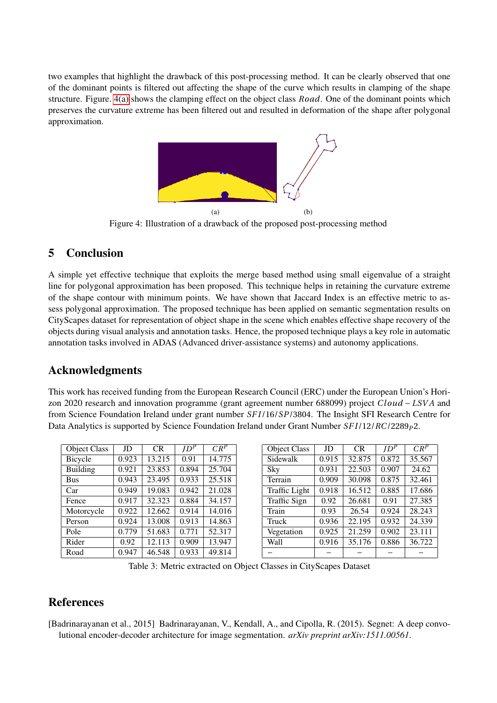<span id="page-6-4"></span>two examples that highlight the drawback of this post-processing method. It can be clearly observed that one of the dominant points is filtered out affecting the shape of the curve which results in clamping of the shape structure. Figure. [4\(a\)](#page-6-4) shows the clamping effect on the object class *Road*. One of the dominant points which preserves the curvature extreme has been filtered out and resulted in deformation of the shape after polygonal approximation.

<span id="page-6-1"></span>

<span id="page-6-3"></span>Figure 4: Illustration of a drawback of the proposed post-processing method

## 5 Conclusion

A simple yet effective technique that exploits the merge based method using small eigenvalue of a straight line for polygonal approximation has been proposed. This technique helps in retaining the curvature extreme of the shape contour with minimum points. We have shown that Jaccard Index is an effective metric to assess polygonal approximation. The proposed technique has been applied on semantic segmentation results on CityScapes dataset for representation of object shape in the scene which enables effective shape recovery of the objects during visual analysis and annotation tasks. Hence, the proposed technique plays a key role in automatic annotation tasks involved in ADAS (Advanced driver-assistance systems) and autonomy applications.

## Acknowledgments

This work has received funding from the European Research Council (ERC) under the European Union's Horizon 2020 research and innovation programme (grant agreement number 688099) project *Cloud* − *LSVA* and from Science Foundation Ireland under grant number *SF I* /16/*SP*/3804. The Insight SFI Research Centre for Data Analytics is supported by Science Foundation Ireland under Grant Number  $SFI/12/RC/2289p2$ .

| <b>Object Class</b> | JD    | CR     | $JD^{\overline{p}}$ | $CR^P$ |
|---------------------|-------|--------|---------------------|--------|
| Bicycle             | 0.923 | 13.215 | 0.91                | 14.775 |
| Building            | 0.921 | 23.853 | 0.894               | 25.704 |
| <b>Bus</b>          | 0.943 | 23.495 | 0.933               | 25.518 |
| Car                 | 0.949 | 19.083 | 0.942               | 21.028 |
| Fence               | 0.917 | 32.323 | 0.884               | 34.157 |
| Motorcycle          | 0.922 | 12.662 | 0.914               | 14.016 |
| Person              | 0.924 | 13.008 | 0.913               | 14.863 |
| Pole                | 0.779 | 51.683 | 0.771               | 52.317 |
| Rider               | 0.92  | 12.113 | $\overline{0.909}$  | 13.947 |
| Road                | 0.947 | 46.548 | 0.933               | 49.814 |

| <b>Object Class</b>  | JD    | <b>CR</b>           | $\overline{JD}^{\overline{P}}$ | $CR^P$ |  |
|----------------------|-------|---------------------|--------------------------------|--------|--|
| Sidewalk             | 0.915 | 32.875              | 0.872                          | 35.567 |  |
| Sky                  | 0.931 | 22.503              | 0.907                          | 24.62  |  |
| Terrain              | 0.909 | 30.098              | 0.875                          | 32.461 |  |
| <b>Traffic Light</b> | 0.918 | 16.512              | 0.885                          | 17.686 |  |
| <b>Traffic Sign</b>  | 0.92  | 26.681              | 0.91                           | 27.385 |  |
| Train                | 0.93  | 26.54               | 0.924                          | 28.243 |  |
| Truck                | 0.936 | $\overline{22.195}$ | $\overline{0.9}32$             | 24.339 |  |
| Vegetation           | 0.925 | 21.259              | $\overline{0.902}$             | 23.111 |  |
| Wall                 | 0.916 | 35.176              | 0.886                          | 36.722 |  |
|                      |       |                     |                                |        |  |

<span id="page-6-2"></span>Table 3: Metric extracted on Object Classes in CityScapes Dataset

## References

<span id="page-6-0"></span>[Badrinarayanan et al., 2015] Badrinarayanan, V., Kendall, A., and Cipolla, R. (2015). Segnet: A deep convolutional encoder-decoder architecture for image segmentation. *arXiv preprint arXiv:1511.00561*.